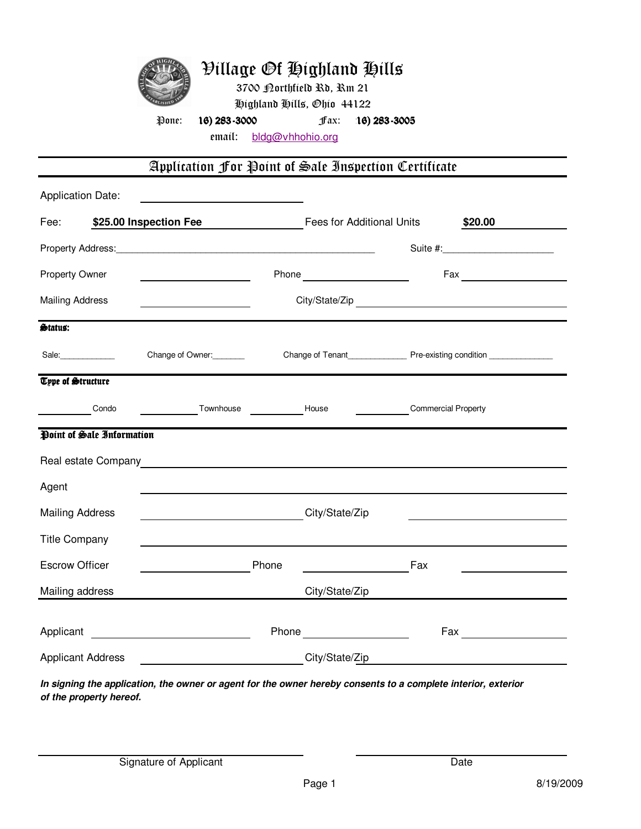

email: bldg@vhhohio.org

## Application For Point of Sale Inspection Certificate

| <b>Application Date:</b>                   |                           |                                                                                                               |  |                                                                                                                                                                                                                                |                                               |                                                                                                                                                                                                                                |  |
|--------------------------------------------|---------------------------|---------------------------------------------------------------------------------------------------------------|--|--------------------------------------------------------------------------------------------------------------------------------------------------------------------------------------------------------------------------------|-----------------------------------------------|--------------------------------------------------------------------------------------------------------------------------------------------------------------------------------------------------------------------------------|--|
| Fee:                                       |                           | \$25.00 Inspection Fee                                                                                        |  | Fees for Additional Units<br>\$20.00                                                                                                                                                                                           |                                               |                                                                                                                                                                                                                                |  |
|                                            |                           |                                                                                                               |  |                                                                                                                                                                                                                                |                                               |                                                                                                                                                                                                                                |  |
| Property Owner                             |                           |                                                                                                               |  | Phone example and the state of the state of the state of the state of the state of the state of the state of the state of the state of the state of the state of the state of the state of the state of the state of the state |                                               |                                                                                                                                                                                                                                |  |
| <b>Mailing Address</b>                     |                           |                                                                                                               |  |                                                                                                                                                                                                                                |                                               |                                                                                                                                                                                                                                |  |
| Status:                                    |                           |                                                                                                               |  |                                                                                                                                                                                                                                |                                               |                                                                                                                                                                                                                                |  |
| Sale:                                      |                           | Change of Owner:                                                                                              |  |                                                                                                                                                                                                                                |                                               |                                                                                                                                                                                                                                |  |
| <b>Type of Structure</b>                   |                           |                                                                                                               |  |                                                                                                                                                                                                                                |                                               |                                                                                                                                                                                                                                |  |
|                                            | Condo                     | Townhouse Town House                                                                                          |  |                                                                                                                                                                                                                                | <b>Commercial Property</b>                    |                                                                                                                                                                                                                                |  |
|                                            | Point of Sale Information |                                                                                                               |  |                                                                                                                                                                                                                                |                                               |                                                                                                                                                                                                                                |  |
|                                            |                           |                                                                                                               |  |                                                                                                                                                                                                                                |                                               |                                                                                                                                                                                                                                |  |
| Agent                                      |                           |                                                                                                               |  |                                                                                                                                                                                                                                |                                               |                                                                                                                                                                                                                                |  |
| <b>Mailing Address</b>                     |                           | City/State/Zip                                                                                                |  |                                                                                                                                                                                                                                |                                               |                                                                                                                                                                                                                                |  |
| <b>Title Company</b>                       |                           |                                                                                                               |  |                                                                                                                                                                                                                                |                                               |                                                                                                                                                                                                                                |  |
| <b>Escrow Officer</b>                      |                           | Phone                                                                                                         |  |                                                                                                                                                                                                                                | Fax                                           |                                                                                                                                                                                                                                |  |
| Mailing address                            |                           |                                                                                                               |  | City/State/Zip                                                                                                                                                                                                                 |                                               |                                                                                                                                                                                                                                |  |
|                                            |                           | Applicant <u>example</u>                                                                                      |  | Phone example and the set of the set of the set of the set of the set of the set of the set of the set of the set of the set of the set of the set of the set of the set of the set of the set of the set of the set of the se |                                               | Fax and the contract of the contract of the contract of the contract of the contract of the contract of the contract of the contract of the contract of the contract of the contract of the contract of the contract of the co |  |
| <b>Applicant Address</b><br>City/State/Zip |                           |                                                                                                               |  |                                                                                                                                                                                                                                | <u> 1980 - Andrea Andrew Maria (h. 1980).</u> |                                                                                                                                                                                                                                |  |
|                                            |                           | In signing the application, the owner or agent for the owner hereby consents to a complete interior, exterior |  |                                                                                                                                                                                                                                |                                               |                                                                                                                                                                                                                                |  |

**In signing the application, the owner or agent for the owner hereby consents to a complete interior, exterior of the property hereof.**